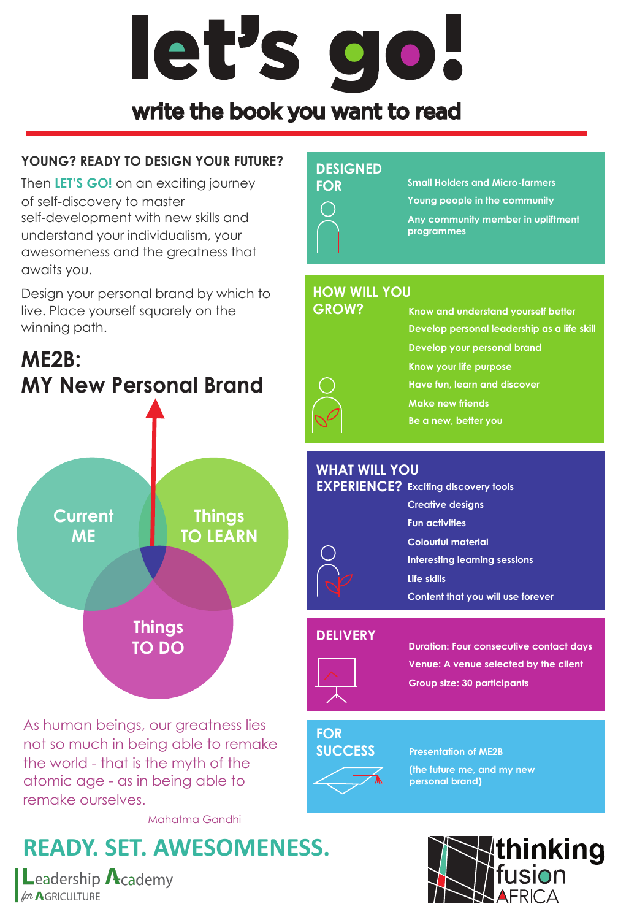# let's go!

# write the book you want to read

## **YOUNG? READY TO DESIGN YOUR FUTURE?**

Then **LET'S GO!** on an exciting journey of self-discovery to master self-development with new skills and understand your individualism, your awesomeness and the greatness that awaits you.

Design your personal brand by which to live. Place yourself squarely on the winning path.

# **ME2B: MY New Personal Brand**



As human beings, our greatness lies not so much in being able to remake the world - that is the myth of the atomic age - as in being able to remake ourselves.

Mahatma Gandhi

# **READY. SET. AWESOMENESS.**

**L**eadership  $\Lambda$ cademy **Lor AGRICULTURE** 

#### **DESIGNED**



**Small Holders and Micro-farmers Young people in the community Any community member in upliftment** 

**programmes**

## **HOW WILL YOU**

#### **GROW?**

**Know and understand yourself better Develop personal leadership as a life skill Develop your personal brand Know your life purpose Have fun, learn and discover Make new friends Be a new, better you**

### **WHAT WILL YOU**

| <b>EXPERIENCE?</b> Exciting discovery tools |
|---------------------------------------------|
| <b>Creative designs</b>                     |
| <b>Fun activities</b>                       |
| Colourful material                          |
| Interesting learning sessions               |
| Life skills                                 |
| Content that you will use forever           |
|                                             |

#### **DELIVERY**



**Duration: Four consecutive contact days Venue: A venue selected by the client Group size: 30 participants**

#### **FOR SUCCESS**

# **Presentation of ME2B**



**(the future me, and my new personal brand)**